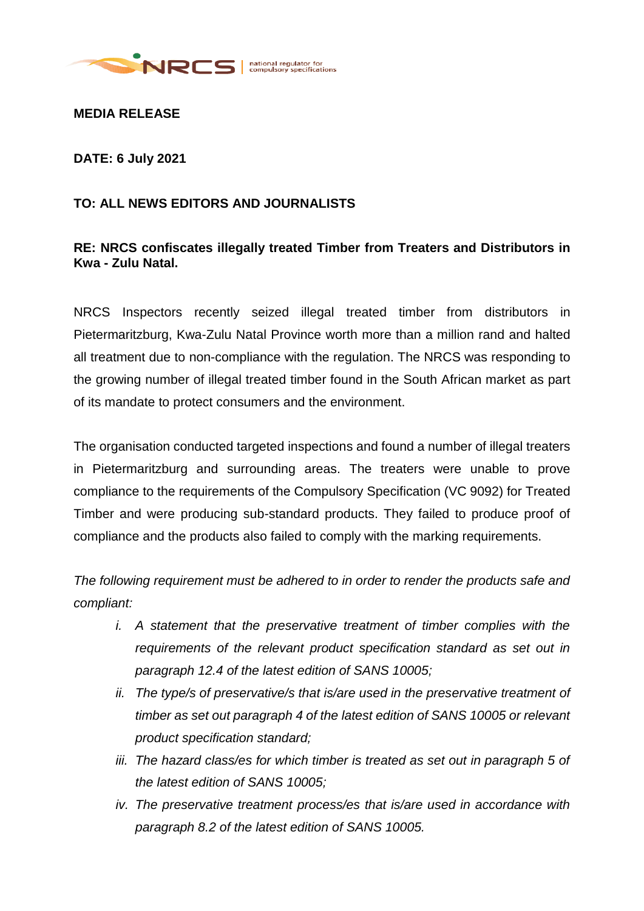

**MEDIA RELEASE**

**DATE: 6 July 2021**

## **TO: ALL NEWS EDITORS AND JOURNALISTS**

## **RE: NRCS confiscates illegally treated Timber from Treaters and Distributors in Kwa - Zulu Natal.**

NRCS Inspectors recently seized illegal treated timber from distributors in Pietermaritzburg, Kwa-Zulu Natal Province worth more than a million rand and halted all treatment due to non-compliance with the regulation. The NRCS was responding to the growing number of illegal treated timber found in the South African market as part of its mandate to protect consumers and the environment.

The organisation conducted targeted inspections and found a number of illegal treaters in Pietermaritzburg and surrounding areas. The treaters were unable to prove compliance to the requirements of the Compulsory Specification (VC 9092) for Treated Timber and were producing sub-standard products. They failed to produce proof of compliance and the products also failed to comply with the marking requirements.

*The following requirement must be adhered to in order to render the products safe and compliant:* 

- *i. A statement that the preservative treatment of timber complies with the requirements of the relevant product specification standard as set out in paragraph 12.4 of the latest edition of SANS 10005;*
- *ii. The type/s of preservative/s that is/are used in the preservative treatment of timber as set out paragraph 4 of the latest edition of SANS 10005 or relevant product specification standard;*
- *iii. The hazard class/es for which timber is treated as set out in paragraph 5 of the latest edition of SANS 10005;*
- *iv. The preservative treatment process/es that is/are used in accordance with paragraph 8.2 of the latest edition of SANS 10005.*